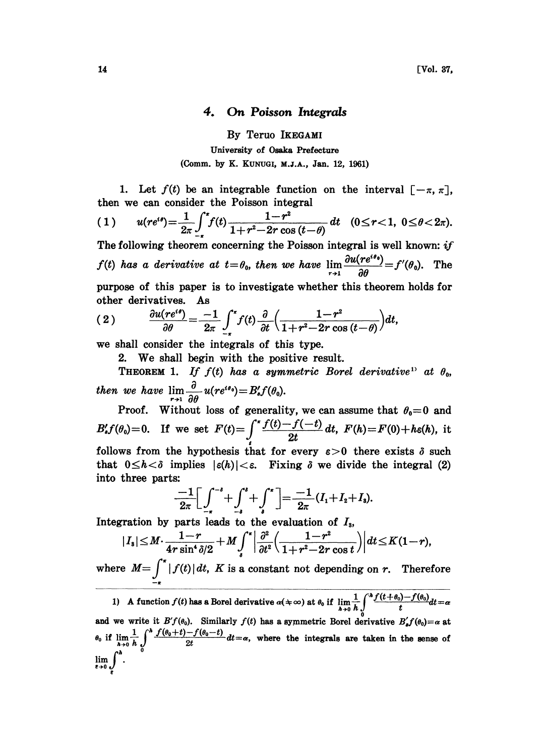## 4. On Poisson Integrals

By Teruo IKEGAMI University of Osaka Prefecture (Comm. by K. KUNUGI, M.J.A., Jan. 12, 1961)

1. Let  $f(t)$  be an integrable function on the interval  $[-\pi, \pi]$ , then we can consider the Poisson integral

$$
(1) \qquad u(re^{i\theta})=\frac{1}{2\pi}\int_{-\pi}^{\pi}f(t)\frac{1-r^2}{1+r^2-2r\cos(t-\theta)}\,dt \quad (0\leq r<1, \ 0\leq \theta<2\pi).
$$

The following theorem concerning the Poisson integral is well known:  $if$  $f(t)$  has a derivative at  $t=\theta_0$ , then we have  $\lim_{r\to 1}\frac{\partial u(re^{i\theta_0})}{\partial \theta}=f'(\theta_0)$ . The purpose of this paper is to investigate whether this theorem holds for other derivatives. As

(2) 
$$
\frac{\partial u(re^{i\theta})}{\partial \theta} = \frac{-1}{2\pi} \int_{-\pi}^{\pi} f(t) \frac{\partial}{\partial t} \left( \frac{1-r^2}{1+r^2-2r\cos(t-\theta)} \right) dt,
$$

we shall consider the integrals of this type.

2. We shall begin with the positive result.

 $\frac{d\theta}{d\theta} = \frac{1}{2\pi} \int_{-\pi}^{0} f(t) \frac{dt}{dt} \left( \frac{1+r^2-2r \cos(t-\theta)}{1+r^2-2r \cos(t-\theta)} \right) dt$ ,<br>
shall consider the integrals of this type.<br>
2. We shall begin with the positive result.<br>
THEOREM 1. If  $f(t)$  has a symmetric Borel derivati then we have  $\lim_{r\to 1}\frac{\partial}{\partial \theta}u(re^{i\theta_0})=B_{s}'f(\theta_0).$ 

Proof. Without loss of generality, we can assume that  $\theta_0=0$  and  $B'_s f(\theta_0) = 0$ . If we set  $F(t) = \int_0^{\pi} \frac{f(t) - f(-t)}{2t} dt$ ,  $F(h) = F(0) + h \epsilon(h)$ , it follows from the hypothesis that for every  $\varepsilon > 0$  there exists  $\delta$  such that  $0 \le h < \delta$  implies  $|\varepsilon(h)| < \varepsilon$ . Fixing  $\delta$  we divide the integral (2) that  $0 \leq h < \delta$  implies  $|\varepsilon(h)| < \varepsilon$ . Fixing  $\delta$  we divide the integral (2) into three parts:

$$
\frac{-1}{2\pi}\bigg[\int_{-\pi}^{-\delta}+\int_{-\delta}^{\delta}+\int_{\delta}^{\pi}\bigg]=\frac{-1}{2\pi}(I_{1}+I_{2}+I_{3}).
$$

Integration by parts leads to the evaluation of  $I<sub>s</sub>$ ,

$$
|I_{s}| \leq M \cdot \frac{1-r}{4r\sin^{4}\delta/2} + M \int_{s}^{\pi} \left| \frac{\partial^{2}}{\partial t^{2}} \left( \frac{1-r^{2}}{1+r^{2}-2r\cos t} \right) \right| dt \leq K(1-r),
$$

where  $M=\int_{-\pi}^{\pi} |f(t)| dt$ , K is a constant not depending on r. Therefore

1) A function  $f(t)$  has a Borel derivative  $\alpha(\pm \infty)$  at  $\theta_0$  if  $\lim_{h\to 0} \frac{1}{h} \int_0^h \frac{f(t+\theta_0)-f(\theta_0)}{t} dt$ . and we write it  $B'f(\theta_0)$ . Similarly  $f(t)$  has a symmetric Borel derivative  $B'_s f(\theta_0) = \alpha$  at and we write it  $B'_{f}(\theta_0)$ . Similarly  $f(t)$  has a symmetric Borel derivative  $B'_{s}f(\theta_0) = \alpha$  at  $\theta_0$  if  $\lim_{h\to 0} \frac{1}{h} \int_0^h \frac{f(\theta_0+t)-f(\theta_0-t)}{2t} dt = \alpha$ , where the integrals are taken in the sense of  $\lim_{\epsilon \to 0} \int^h$ .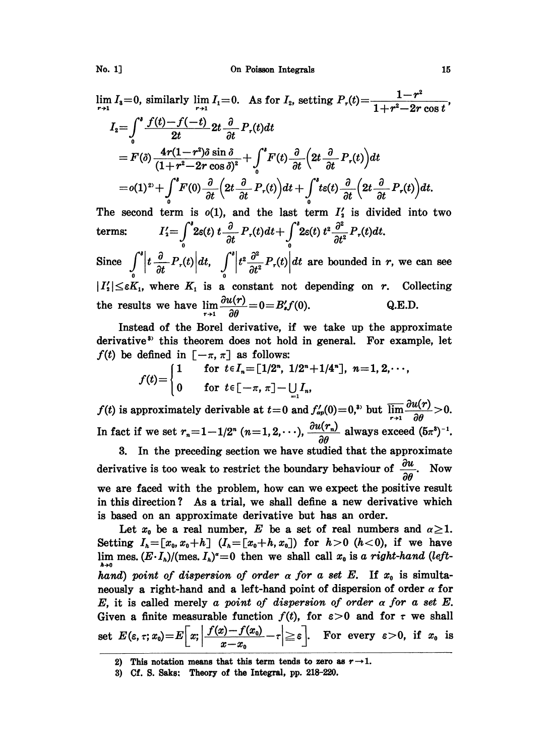$\lim_{r \to 1} I_3 = 0$ , similarly  $\lim_{r \to 1} I_1 = 0$ . As for  $I_2$ , setting  $P_r(t) = \frac{1 - r^2}{1 + r^2 - 2r \cos t}$  $I_2 = \int_0^s \frac{f(t) - f(-t)}{2t} 2t \frac{\partial}{\partial t} P_r(t) dt$  $= F(\delta) \frac{4r(1-r^2)\delta\sin\delta}{(1+r^2-2r\cos\delta)^2} + \int^s F(t) \frac{\partial}{\partial t} \Big(2t \frac{\partial}{\partial t} P_r(t)\Big) dt$  $=o(1)^{2)}+\int^{s}F(0)\frac{\partial}{\partial t}\Big(2t\frac{\partial}{\partial t}P_{r}(t)\Big)dt+\int^{s}t\varepsilon(t)\frac{\partial}{\partial t}\Big(2t\frac{\partial}{\partial t}P_{r}(t)\Big)dt.$ 

The second term is  $o(1)$ , and the last term  $I'_2$  is divided into two  $I_2'=\int^s\!\!2\varepsilon(t)\;t\frac{\partial}{\partial t}\;P_\tau(t)dt+\int^s\!\!2\varepsilon(t)\;t^2\frac{\partial^2}{\partial t^2}\;P_\tau(t)dt.$ terms: Since  $\int_{0}^{t} \left| t \frac{\partial}{\partial t} P_r(t) \right| dt$ ,  $\int_{0}^{t} \left| t^2 \frac{\partial^2}{\partial t^2} P_r(t) \right| dt$  are bounded in r, we can see

 $|I'_2| \leq \varepsilon K_1$ , where  $K_1$  is a constant not depending on r. Collecting the results we have  $\lim_{r\to 1} \frac{\partial u(r)}{\partial \theta} = 0 = B'_s f(0)$ . Q.E.D.

Instead of the Borel derivative, if we take up the approximate derivative<sup>3</sup> this theorem does not hold in general. For example, let  $f(t)$  be defined in  $[-\pi, \pi]$  as follows:

$$
f(t) = \begin{cases} 1 & \text{for } t \in I_n = [1/2^n, 1/2^n + 1/4^n], n = 1, 2, \cdots, \\ 0 & \text{for } t \in [-\pi, \pi] - \bigcup_{i=1}^n I_n, \end{cases}
$$

 $f(t)$  is approximately derivable at  $t=0$  and  $f'_{ap}(0)=0$ ,<sup>3</sup> but  $\overline{\lim_{r\to 1}}\frac{\partial u(r)}{\partial \theta}>0$ . In fact if we set  $r_n=1-1/2^n$   $(n=1,2,\cdots),\frac{\partial u(r_n)}{\partial \theta}$  always exceed  $(5\pi^3)^{-1}$ .

In the preceding section we have studied that the approximate 3. derivative is too weak to restrict the boundary behaviour of  $\frac{\partial u}{\partial \theta}$ . Now we are faced with the problem, how can we expect the positive result in this direction? As a trial, we shall define a new derivative which is based on an approximate derivative but has an order.

Let  $x_0$  be a real number, E be a set of real numbers and  $\alpha \geq 1$ . Setting  $I_h = [x_0, x_0 + h]$   $(I_h = [x_0 + h, x_0])$  for  $h > 0$   $(h < 0)$ , if we have lim mes.  $(E \cdot I_h)/(\text{mes. } I_h)^a = 0$  then we shall call  $x_0$  is a right-hand (lefthand) point of dispersion of order  $\alpha$  for a set E. If  $x_0$  is simultaneously a right-hand and a left-hand point of dispersion of order  $\alpha$  for E, it is called merely a point of dispersion of order  $\alpha$  for  $\alpha$  set E. Given a finite measurable function  $f(t)$ , for  $\varepsilon > 0$  and for  $\tau$  we shall set  $E(\varepsilon, \tau; x_0) = E\left[x; \left|\frac{f(x) - f(x_0)}{x - x_0}\right| - \tau\right] \ge \varepsilon$ . For every  $\varepsilon > 0$ , if  $x_0$  is

<sup>2)</sup> This notation means that this term tends to zero as  $r \rightarrow 1$ .

<sup>3)</sup> Cf. S. Saks: Theory of the Integral, pp. 218-220.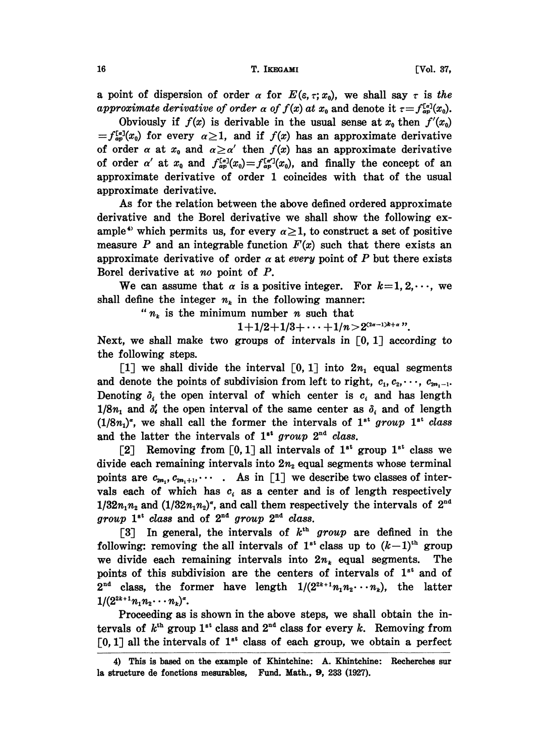## 16 T. IKEGAMI [Vol. 37,

a point of dispersion of order  $\alpha$  for  $E(\varepsilon, \tau; x_0)$ , we shall say  $\tau$  is the approximate derivative of order  $\alpha$  of  $f(x)$  at  $x_0$  and denote it  $\tau = f_{ap}^{[x]}(x_0)$ .

Obviously if  $f(x)$  is derivable in the usual sense at  $x_0$  then  $f'(x_0)$  $=f_{\alpha}^{[\alpha]}(x_0)$  for every  $\alpha \geq 1$ , and if  $f(x)$  has an approximate derivative of order  $\alpha$  at  $x_0$  and  $\alpha \ge \alpha'$  then  $f(x)$  has an approximate derivative of order  $\alpha'$  at  $x_0$  and  $f_{ap}^{[a]}(x_0)=f_{ap}^{[a']}(x_0)$ , and finally the concept of an approximate derivative of order 1 coincides with that of the usual approximate derivative.

As for the relation between the above defined ordered approximate derivative and the Borel derivative we shall show the following example<sup>4</sup> which permits us, for every  $\alpha \geq 1$ , to construct a set of positive measure P and an integrable function  $F(x)$  such that there exists an approximate derivative of order  $\alpha$  at every point of P but there exists Borel derivative at no point of P.

We can assume that  $\alpha$  is a positive integer. For  $k=1, 2, \dots$ , we shall define the integer  $n_k$  in the following manner:

" $n_k$  is the minimum number n such that

 $1+1/2+1/3+\cdots +1/n > 2^{(2\alpha-1)k+\alpha}$ ".

Next, we shall make two groups of intervals in  $[0, 1]$  according to the following steps.

[1] we shall divide the interval [0, 1] into  $2n_1$  equal segments and denote the points of subdivision from left to right,  $c_1, c_2, \dots, c_{2m_1-1}$ . Denoting  $\delta_i$  the open interval of which center is  $c_i$  and has length  $1/8n_1$  and  $\delta'_i$  the open interval of the same center as  $\delta_i$  and of length  $(1/8n_1)^{\sigma}$ , we shall call the former the intervals of  $1^{st}$  group  $1^{st}$  class and the latter the intervals of  $1^{st}$  group  $2^{nd}$  class.

[2] Removing from [0, 1] all intervals of  $1^{st}$  group  $1^{st}$  class we divide each remaining intervals into  $2n<sub>2</sub>$  equal segments whose terminal points are  $c_{2n_1}, c_{2n_1+1}, \cdots$  As in [1] we describe two classes of intervals each of which has  $c_i$  as a center and is of length respectively  $1/32n_1n_2$  and  $(1/32n_1n_2)^{\sigma}$ , and call them respectively the intervals of  $2^{\text{nd}}$  $group\;1^{st}\;class\;and\;of\;2^{nd}\;group\;2^{nd}\;class.$ 

[3] In general, the intervals of  $k<sup>th</sup>$  group are defined in the following: removing the all intervals of  $1^{st}$  class up to  $(k-1)^{th}$  group we divide each remaining intervals into  $2n_k$  equal segments. The points of this subdivision are the centers of intervals of  $1<sup>st</sup>$  and of  $2^{nd}$  class, the former have length  $1/(2^{2k+1}n_1n_2\cdots n_k)$ , the latter  $1/(2^{2k+1}n_1n_2\cdots n_k)^{\alpha}.$ 

Proceeding as is shown in the above steps, we shall obtain the intervals of  $k^{\text{th}}$  group 1<sup>st</sup> class and 2<sup>nd</sup> class for every k. Removing from [0, 1] all the intervals of  $1<sup>st</sup>$  class of each group, we obtain a perfect

<sup>4)</sup> This is based on the example of Khintchine: A. Khintchine: Recherches sur la structure de fonctions mesurables, Fund. Math, 9, 233 (1927).